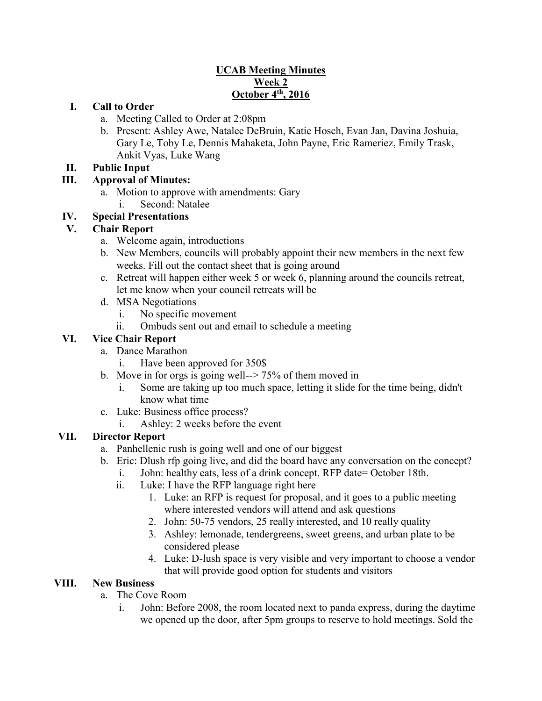### **UCAB Meeting Minutes Week 2 October 4th, 2016**

### **I. Call to Order**

- a. Meeting Called to Order at 2:08pm
- b. Present: Ashley Awe, Natalee DeBruin, Katie Hosch, Evan Jan, Davina Joshuia, Gary Le, Toby Le, Dennis Mahaketa, John Payne, Eric Rameriez, Emily Trask, Ankit Vyas, Luke Wang

#### **II. Public Input**

# **III. Approval of Minutes:**

- a. Motion to approve with amendments: Gary
	- i. Second: Natalee

# **IV. Special Presentations**

# **V. Chair Report**

- a. Welcome again, introductions
- b. New Members, councils will probably appoint their new members in the next few weeks. Fill out the contact sheet that is going around
- c. Retreat will happen either week 5 or week 6, planning around the councils retreat, let me know when your council retreats will be
- d. MSA Negotiations
	- i. No specific movement
	- ii. Ombuds sent out and email to schedule a meeting

# **VI. Vice Chair Report**

- a. Dance Marathon
	- i. Have been approved for 350\$
- b. Move in for orgs is going well--> 75% of them moved in
	- i. Some are taking up too much space, letting it slide for the time being, didn't know what time
- c. Luke: Business office process?
	- i. Ashley: 2 weeks before the event

# **VII. Director Report**

- a. Panhellenic rush is going well and one of our biggest
- b. Eric: Dlush rfp going live, and did the board have any conversation on the concept?
	- i. John: healthy eats, less of a drink concept. RFP date= October 18th.
	- ii. Luke: I have the RFP language right here
		- 1. Luke: an RFP is request for proposal, and it goes to a public meeting where interested vendors will attend and ask questions
		- 2. John: 50-75 vendors, 25 really interested, and 10 really quality
		- 3. Ashley: lemonade, tendergreens, sweet greens, and urban plate to be considered please
		- 4. Luke: D-lush space is very visible and very important to choose a vendor that will provide good option for students and visitors

# **VIII. New Business**

- a. The Cove Room
	- i. John: Before 2008, the room located next to panda express, during the daytime we opened up the door, after 5pm groups to reserve to hold meetings. Sold the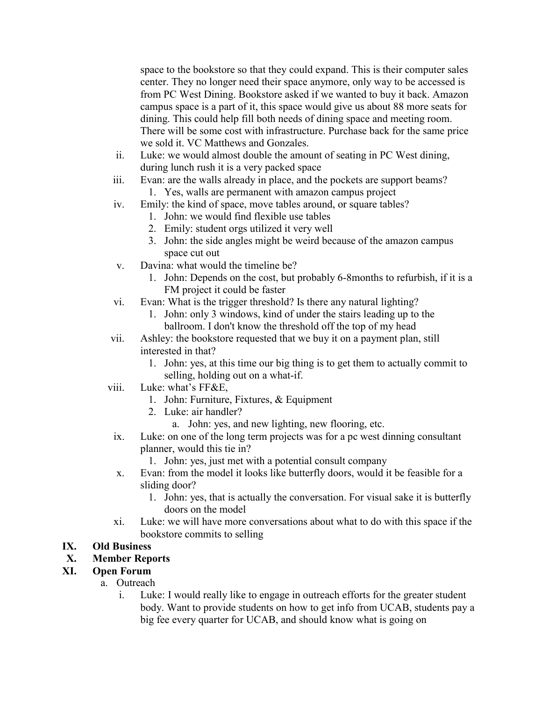space to the bookstore so that they could expand. This is their computer sales center. They no longer need their space anymore, only way to be accessed is from PC West Dining. Bookstore asked if we wanted to buy it back. Amazon campus space is a part of it, this space would give us about 88 more seats for dining. This could help fill both needs of dining space and meeting room. There will be some cost with infrastructure. Purchase back for the same price we sold it. VC Matthews and Gonzales.

- ii. Luke: we would almost double the amount of seating in PC West dining, during lunch rush it is a very packed space
- iii. Evan: are the walls already in place, and the pockets are support beams? 1. Yes, walls are permanent with amazon campus project
- iv. Emily: the kind of space, move tables around, or square tables?
	- 1. John: we would find flexible use tables
	- 2. Emily: student orgs utilized it very well
	- 3. John: the side angles might be weird because of the amazon campus space cut out
- v. Davina: what would the timeline be?
	- 1. John: Depends on the cost, but probably 6-8months to refurbish, if it is a FM project it could be faster
- vi. Evan: What is the trigger threshold? Is there any natural lighting?
	- 1. John: only 3 windows, kind of under the stairs leading up to the ballroom. I don't know the threshold off the top of my head
- vii. Ashley: the bookstore requested that we buy it on a payment plan, still interested in that?
	- 1. John: yes, at this time our big thing is to get them to actually commit to selling, holding out on a what-if.
- viii. Luke: what's FF&E,
	- 1. John: Furniture, Fixtures, & Equipment
	- 2. Luke: air handler?
		- a. John: yes, and new lighting, new flooring, etc.
- ix. Luke: on one of the long term projects was for a pc west dinning consultant planner, would this tie in?
	- 1. John: yes, just met with a potential consult company
- x. Evan: from the model it looks like butterfly doors, would it be feasible for a sliding door?
	- 1. John: yes, that is actually the conversation. For visual sake it is butterfly doors on the model
- xi. Luke: we will have more conversations about what to do with this space if the bookstore commits to selling

# **IX. Old Business**

#### **X. Member Reports**

#### **XI. Open Forum**

- a. Outreach
	- i. Luke: I would really like to engage in outreach efforts for the greater student body. Want to provide students on how to get info from UCAB, students pay a big fee every quarter for UCAB, and should know what is going on